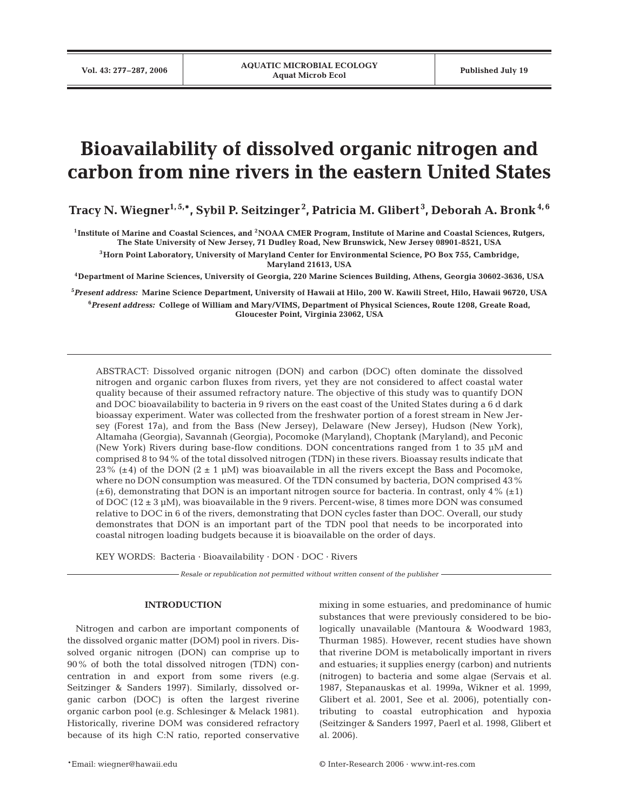# **Bioavailability of dissolved organic nitrogen and carbon from nine rivers in the eastern United States**

**Tracy N. Wiegner1, 5,\*, Sybil P. Seitzinger <sup>2</sup> , Patricia M. Glibert <sup>3</sup> , Deborah A. Bronk4, 6**

**1Institute of Marine and Coastal Sciences, and 2NOAA CMER Program, Institute of Marine and Coastal Sciences, Rutgers, The State University of New Jersey, 71 Dudley Road, New Brunswick, New Jersey 08901-8521, USA**

**3Horn Point Laboratory, University of Maryland Center for Environmental Science, PO Box 755, Cambridge, Maryland 21613, USA**

**4Department of Marine Sciences, University of Georgia, 220 Marine Sciences Building, Athens, Georgia 30602-3636, USA**

**5** *Present address:* **Marine Science Department, University of Hawaii at Hilo, 200 W. Kawili Street, Hilo, Hawaii 96720, USA 6** *Present address:* **College of William and Mary/VIMS, Department of Physical Sciences, Route 1208, Greate Road, Gloucester Point, Virginia 23062, USA**

ABSTRACT: Dissolved organic nitrogen (DON) and carbon (DOC) often dominate the dissolved nitrogen and organic carbon fluxes from rivers, yet they are not considered to affect coastal water quality because of their assumed refractory nature. The objective of this study was to quantify DON and DOC bioavailability to bacteria in 9 rivers on the east coast of the United States during a 6 d dark bioassay experiment. Water was collected from the freshwater portion of a forest stream in New Jersey (Forest 17a), and from the Bass (New Jersey), Delaware (New Jersey), Hudson (New York), Altamaha (Georgia), Savannah (Georgia), Pocomoke (Maryland), Choptank (Maryland), and Peconic (New York) Rivers during base-flow conditions. DON concentrations ranged from 1 to 35 µM and comprised 8 to 94% of the total dissolved nitrogen (TDN) in these rivers. Bioassay results indicate that 23% ( $\pm$ 4) of the DON (2  $\pm$  1 µM) was bioavailable in all the rivers except the Bass and Pocomoke, where no DON consumption was measured. Of the TDN consumed by bacteria, DON comprised 43%  $(\pm 6)$ , demonstrating that DON is an important nitrogen source for bacteria. In contrast, only 4%  $(\pm 1)$ of DOC ( $12 \pm 3$  µM), was bioavailable in the 9 rivers. Percent-wise, 8 times more DON was consumed relative to DOC in 6 of the rivers, demonstrating that DON cycles faster than DOC. Overall, our study demonstrates that DON is an important part of the TDN pool that needs to be incorporated into coastal nitrogen loading budgets because it is bioavailable on the order of days.

KEY WORDS: Bacteria · Bioavailability · DON · DOC · Rivers

*Resale or republication not permitted without written consent of the publisher*

# **INTRODUCTION**

Nitrogen and carbon are important components of the dissolved organic matter (DOM) pool in rivers. Dissolved organic nitrogen (DON) can comprise up to 90% of both the total dissolved nitrogen (TDN) concentration in and export from some rivers (e.g. Seitzinger & Sanders 1997). Similarly, dissolved organic carbon (DOC) is often the largest riverine organic carbon pool (e.g. Schlesinger & Melack 1981). Historically, riverine DOM was considered refractory because of its high C:N ratio, reported conservative mixing in some estuaries, and predominance of humic substances that were previously considered to be biologically unavailable (Mantoura & Woodward 1983, Thurman 1985). However, recent studies have shown that riverine DOM is metabolically important in rivers and estuaries; it supplies energy (carbon) and nutrients (nitrogen) to bacteria and some algae (Servais et al. 1987, Stepanauskas et al. 1999a, Wikner et al. 1999, Glibert et al. 2001, See et al. 2006), potentially contributing to coastal eutrophication and hypoxia (Seitzinger & Sanders 1997, Paerl et al. 1998, Glibert et al. 2006).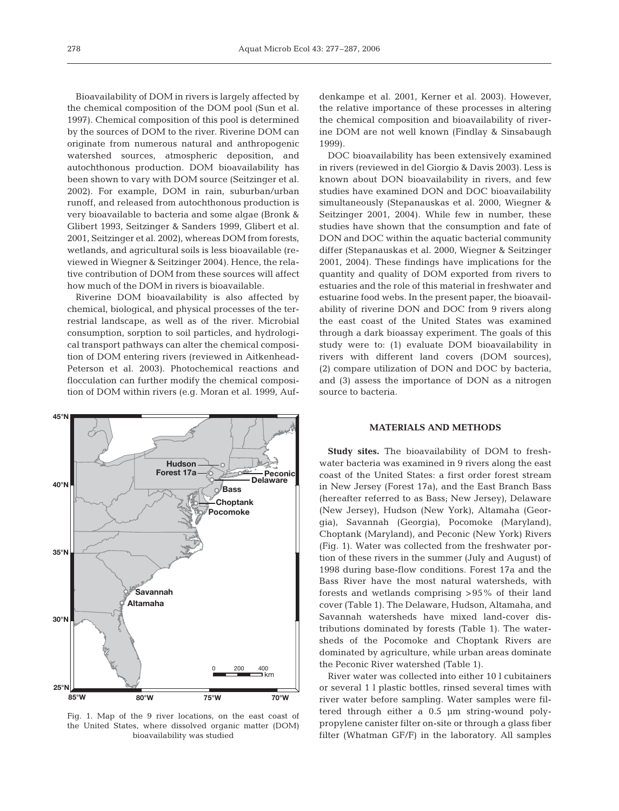Bioavailability of DOM in rivers is largely affected by the chemical composition of the DOM pool (Sun et al. 1997). Chemical composition of this pool is determined by the sources of DOM to the river. Riverine DOM can originate from numerous natural and anthropogenic watershed sources, atmospheric deposition, and autochthonous production. DOM bioavailability has been shown to vary with DOM source (Seitzinger et al. 2002). For example, DOM in rain, suburban/urban runoff, and released from autochthonous production is very bioavailable to bacteria and some algae (Bronk & Glibert 1993, Seitzinger & Sanders 1999, Glibert et al. 2001, Seitzinger et al. 2002), whereas DOM from forests, wetlands, and agricultural soils is less bioavailable (reviewed in Wiegner & Seitzinger 2004). Hence, the relative contribution of DOM from these sources will affect how much of the DOM in rivers is bioavailable.

Riverine DOM bioavailability is also affected by chemical, biological, and physical processes of the terrestrial landscape, as well as of the river. Microbial consumption, sorption to soil particles, and hydrological transport pathways can alter the chemical composition of DOM entering rivers (reviewed in Aitkenhead-Peterson et al. 2003). Photochemical reactions and flocculation can further modify the chemical composition of DOM within rivers (e.g. Moran et al. 1999, Auf-



Fig. 1. Map of the 9 river locations, on the east coast of the United States, where dissolved organic matter (DOM) bioavailability was studied

denkampe et al. 2001, Kerner et al. 2003). However, the relative importance of these processes in altering the chemical composition and bioavailability of riverine DOM are not well known (Findlay & Sinsabaugh 1999).

DOC bioavailability has been extensively examined in rivers (reviewed in del Giorgio & Davis 2003). Less is known about DON bioavailability in rivers, and few studies have examined DON and DOC bioavailability simultaneously (Stepanauskas et al. 2000, Wiegner & Seitzinger 2001, 2004). While few in number, these studies have shown that the consumption and fate of DON and DOC within the aquatic bacterial community differ (Stepanauskas et al. 2000, Wiegner & Seitzinger 2001, 2004). These findings have implications for the quantity and quality of DOM exported from rivers to estuaries and the role of this material in freshwater and estuarine food webs. In the present paper, the bioavailability of riverine DON and DOC from 9 rivers along the east coast of the United States was examined through a dark bioassay experiment. The goals of this study were to: (1) evaluate DOM bioavailability in rivers with different land covers (DOM sources), (2) compare utilization of DON and DOC by bacteria, and (3) assess the importance of DON as a nitrogen source to bacteria.

## **MATERIALS AND METHODS**

**Study sites.** The bioavailability of DOM to freshwater bacteria was examined in 9 rivers along the east coast of the United States: a first order forest stream in New Jersey (Forest 17a), and the East Branch Bass (hereafter referred to as Bass; New Jersey), Delaware (New Jersey), Hudson (New York), Altamaha (Georgia), Savannah (Georgia), Pocomoke (Maryland), Choptank (Maryland), and Peconic (New York) Rivers (Fig. 1). Water was collected from the freshwater portion of these rivers in the summer (July and August) of 1998 during base-flow conditions. Forest 17a and the Bass River have the most natural watersheds, with forests and wetlands comprising >95% of their land cover (Table 1). The Delaware, Hudson, Altamaha, and Savannah watersheds have mixed land-cover distributions dominated by forests (Table 1). The watersheds of the Pocomoke and Choptank Rivers are dominated by agriculture, while urban areas dominate the Peconic River watershed (Table 1).

River water was collected into either 10 l cubitainers or several 1 l plastic bottles, rinsed several times with river water before sampling. Water samples were filtered through either a 0.5 µm string-wound polypropylene canister filter on-site or through a glass fiber filter (Whatman GF/F) in the laboratory. All samples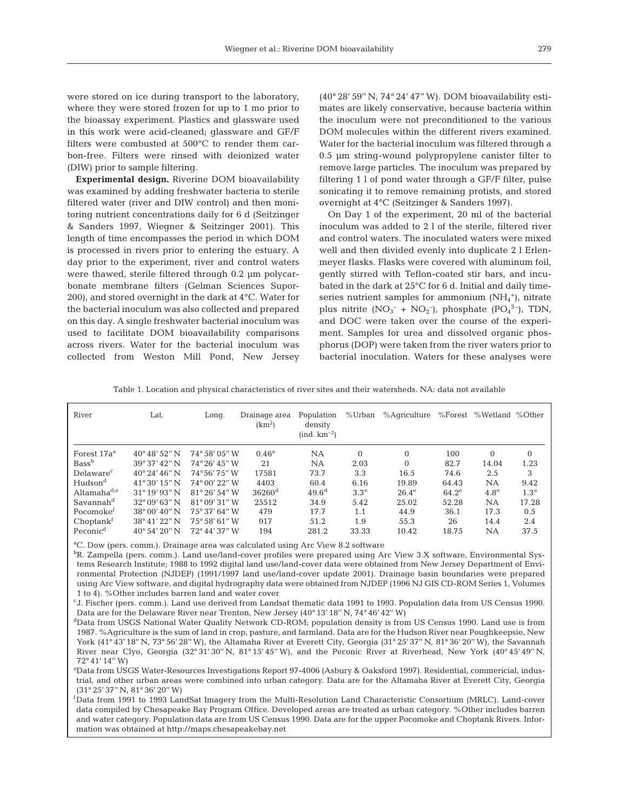were stored on ice during transport to the laboratory, where they were stored frozen for up to 1 mo prior to the bioassay experiment. Plastics and glassware used in this work were acid-cleaned; glassware and GF/F filters were combusted at 500°C to render them carbon-free. Filters were rinsed with deionized water (DIW) prior to sample filtering.

**Experimental design.** Riverine DOM bioavailability was examined by adding freshwater bacteria to sterile filtered water (river and DIW control) and then monitoring nutrient concentrations daily for 6 d (Seitzinger & Sanders 1997, Wiegner & Seitzinger 2001). This length of time encompasses the period in which DOM is processed in rivers prior to entering the estuary. A day prior to the experiment, river and control waters were thawed, sterile filtered through 0.2 µm polycarbonate membrane filters (Gelman Sciences Supor-200), and stored overnight in the dark at 4°C. Water for the bacterial inoculum was also collected and prepared on this day. A single freshwater bacterial inoculum was used to facilitate DOM bioavailability comparisons across rivers. Water for the bacterial inoculum was collected from Weston Mill Pond, New Jersey

(40° 28' 59'' N, 74° 24' 47'' W). DOM bioavailability estimates are likely conservative, because bacteria within the inoculum were not preconditioned to the various DOM molecules within the different rivers examined. Water for the bacterial inoculum was filtered through a 0.5 µm string-wound polypropylene canister filter to remove large particles. The inoculum was prepared by filtering 1 l of pond water through a GF/F filter, pulse sonicating it to remove remaining protists, and stored overnight at 4°C (Seitzinger & Sanders 1997).

On Day 1 of the experiment, 20 ml of the bacterial inoculum was added to 2 l of the sterile, filtered river and control waters. The inoculated waters were mixed well and then divided evenly into duplicate 2 l Erlenmeyer flasks. Flasks were covered with aluminum foil, gently stirred with Teflon-coated stir bars, and incubated in the dark at 25°C for 6 d. Initial and daily timeseries nutrient samples for ammonium  $(NH_4^+)$ , nitrate plus nitrite  $(NO_3^- + NO_2^-)$ , phosphate  $(PO_4^{3-})$ , TDN, and DOC were taken over the course of the experiment. Samples for urea and dissolved organic phosphorus (DOP) were taken from the river waters prior to bacterial inoculation. Waters for these analyses were

Table 1. Location and physical characteristics of river sites and their watersheds. NA: data not available

| River                   | Lat.                    | Long.                 | Drainage area<br>(km <sup>2</sup> ) | Population<br>density<br>$(ind. km-2)$ | %Urban           | %Agriculture |          | %Forest %Wetland %Other |                  |
|-------------------------|-------------------------|-----------------------|-------------------------------------|----------------------------------------|------------------|--------------|----------|-------------------------|------------------|
| Forest 17a <sup>a</sup> | $40^{\circ}48'52''$ N   | 74° 58′ 05″ W         | $0.46^{\rm a}$                      | NA                                     | $\Omega$         | $\Omega$     | 100      | $\Omega$                | $\Omega$         |
| Bass <sup>b</sup>       | $39^{\circ}37'42''$ N   | 74°26′45″W            | 21                                  | NA                                     | 2.03             | $\Omega$     | 82.7     | 14.04                   | 1.23             |
| Delaware <sup>c</sup>   | $40^{\circ} 24' 46''$ N | 74°56′75″W            | 17581                               | 73.7                                   | 3.3              | 16.5         | 74.6     | 2.5                     | 3                |
| Hudson <sup>d</sup>     | $41^{\circ}30'15''$ N   | 74° 00' 22" W         | 4403                                | 60.4                                   | 6.16             | 19.89        | 64.43    | <b>NA</b>               | 9.42             |
| Altamaha <sup>d,e</sup> | $31^{\circ} 19' 93''$ N | 81°26'54''W           | $36260$ <sup>d</sup>                | 49.6 <sup>d</sup>                      | 3.3 <sup>e</sup> | $26.4^e$     | $64.2^e$ | 4.8 <sup>e</sup>        | 1.3 <sup>e</sup> |
| Savannah <sup>d</sup>   | $32^{\circ}09'63''$ N   | $81^{\circ}09'31''$ W | 25512                               | 34.9                                   | 5.42             | 25.02        | 52.28    | NА                      | 17.28            |
| Pocomoke <sup>r</sup>   | $38^{\circ}00'40''$ N   | 75° 37' 64" W         | 479                                 | 17.7                                   | 1.1              | 44.9         | 36.1     | 17.3                    | 0.5              |
| Choptank <sup>f</sup>   | $38^{\circ}41'22''$ N   | $75^{\circ}58'$ 61" W | 917                                 | 51.2                                   | 1.9              | 55.3         | 26       | 14.4                    | 2.4              |
| Peconic <sup>d</sup>    | $40^{\circ} 54' 20''$ N | 72°44′37″W            | 194                                 | 281.2                                  | 33.33            | 10.42        | 18.75    | NA                      | 37.5             |

<sup>a</sup>C. Dow (pers. comm.). Drainage area was calculated using Arc View 8.2 software

bR. Zampella (pers. comm.). Land use/land-cover profiles were prepared using Arc View 3.X software, Environmental Systems Research Institute; 1988 to 1992 digital land use/land-cover data were obtained from New Jersey Department of Environmental Protection (NJDEP) (1991/1997 land use/land-cover update 2001). Drainage basin boundaries were prepared using Arc View software, and digital hydrography data were obtained from NJDEP (1996 NJ GIS CD-ROM Series 1, Volumes 1 to 4). %Other includes barren land and water cover

cJ. Fischer (pers. comm.). Land use derived from Landsat thematic data 1991 to 1993. Population data from US Census 1990. Data are for the Delaware River near Trenton, New Jersey (40° 13' 18'' N, 74° 46' 42'' W)

 $d$ Data from USGS National Water Quality Network CD-ROM; population density is from US Census 1990. Land use is from 1987. %Agriculture is the sum of land in crop, pasture, and farmland. Data are for the Hudson River near Poughkeepsie, New York (41° 43' 18'' N, 73° 56' 28'' W), the Altamaha River at Everett City, Georgia (31° 25' 37'' N, 81° 36' 20'' W), the Savannah River near Clyo, Georgia (32° 31' 30'' N, 81° 15' 45'' W), and the Peconic River at Riverhead, New York (40° 45' 49'' N, 72° 41' 14'' W)

e Data from USGS Water-Resources Investigations Report 97-4006 (Asbury & Oaksford 1997). Residential, commericial, industrial, and other urban areas were combined into urban category. Data are for the Altamaha River at Everett City, Georgia (31° 25' 37'' N, 81° 36' 20'' W)

f Data from 1991 to 1993 LandSat Imagery from the Multi-Resolution Land Characteristic Consortium (MRLC). Land-cover data compiled by Chesapeake Bay Program Office. Developed areas are treated as urban category. %Other includes barren and water category. Population data are from US Census 1990. Data are for the upper Pocomoke and Choptank Rivers. Information was obtained at http://maps.chesapeakebay.net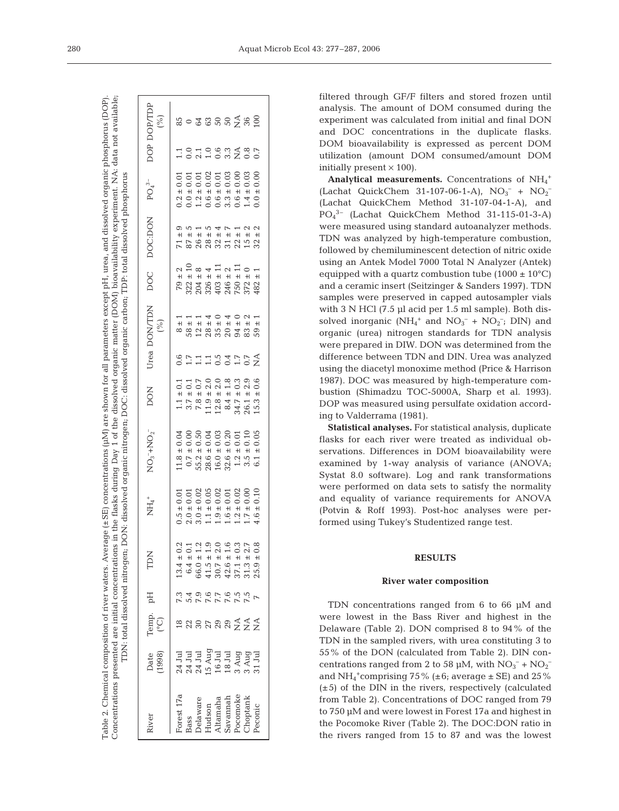Concentrations presented are initial concentrations in the flasks during Day 1 of the dissolved organic matter (DOM) bioavailability experiment. NA: data not available; Table 2. Chemical composition of river waters. Average ( $\pm$ SE) concentrations ( $\mu$ M) are shown for all parameters except pH, urea, and dissolved organic phosphorus (DOP) Table 2. Chemical composition of river waters. Average (±SE) concentrations (µM) are shown for all parameters except pH, urea, and dissolved organic phosphorus (DOP). Concentrations presented are initial concentrations in the flasks during Day 1 of the dissolved organic matter (DOM) bioavailability experiment. NA: data not available TDN: total dissolved nitrogen; DON: dissolved organic nitrogen; DOC: dissolved organic carbon; TDP: total dissolved phosphorus TDN: total dissolved nitrogen; DON: dissolved organic nitrogen; DOC: dissolved organic carbon; TDP: total dissolved phosphorus

| dver                                                                                                 | Date<br>(1998)                                                                                                                                                                                                                                                                                                                                                                                            | $\begin{array}{ll} \text{Temp.}\\ \text{(°C)} \end{array}$                                                                                                                                                                            | Hq                                   | TDN                                                                                                                                                                                                                                   | $\overline{\rm NH}_4^+$                                                                                                                                                                                                                                                                          | $NO3-+NO2-$                                                                                                                                                                                         | <b>DON</b>                                                                                                                                                                                                                                                                                                          |                             | Urea DON/TDN<br>(%)                                 |          | DOC DOC:DON PO <sub>4</sub> <sup>3-</sup> |     |                        | DOP DOP/TDP         |
|------------------------------------------------------------------------------------------------------|-----------------------------------------------------------------------------------------------------------------------------------------------------------------------------------------------------------------------------------------------------------------------------------------------------------------------------------------------------------------------------------------------------------|---------------------------------------------------------------------------------------------------------------------------------------------------------------------------------------------------------------------------------------|--------------------------------------|---------------------------------------------------------------------------------------------------------------------------------------------------------------------------------------------------------------------------------------|--------------------------------------------------------------------------------------------------------------------------------------------------------------------------------------------------------------------------------------------------------------------------------------------------|-----------------------------------------------------------------------------------------------------------------------------------------------------------------------------------------------------|---------------------------------------------------------------------------------------------------------------------------------------------------------------------------------------------------------------------------------------------------------------------------------------------------------------------|-----------------------------|-----------------------------------------------------|----------|-------------------------------------------|-----|------------------------|---------------------|
| Forest 17a<br>Bass<br>Delaware<br>Delaware<br>Hudson<br>Altamaha<br>Savannah<br>Socomoke<br>Pecomoke | $\begin{array}{c} 24\, \, \mathrm{J} \mathrm{u} \\ 24\, \, \mathrm{J} \mathrm{u} \\ 24\, \, \mathrm{J} \mathrm{u} \\ 25\, \, \mathrm{J} \mathrm{u} \\ 26\, \, \mathrm{J} \mathrm{u} \\ 28\, \, \mathrm{J} \mathrm{u} \\ 29\, \, \mathrm{A} \mathrm{u} \\ 29\, \, \mathrm{A} \mathrm{u} \\ 29\, \, \mathrm{A} \mathrm{u} \\ 29\, \, \mathrm{A} \mathrm{u} \\ 21\, \, \mathrm{J} \mathrm{u} \\ \end{array}$ | $\begin{array}{l} \mathfrak{A}\otimes \mathfrak{A}\otimes \mathfrak{A}\otimes \mathfrak{A}\leq \mathfrak{A}\leq \mathfrak{A} \\ \mathfrak{A}\otimes \mathfrak{A}\otimes \mathfrak{A}\otimes \mathfrak{A}\leq \mathfrak{A}\end{array}$ | R A D O R O U U<br>A D A D A R R R R | $13\,4\,4\,4\,5\,0\,0\,1\\ 6\,4\,4\,5\,1\,0\,1\\ 6\,6\,0\,0\,1\,1\,1\,1\,0\,1\\ 6\,6\,0\,0\,1\,1\,1\,1\,1\,1\,1\,1\\ 7\,0\,1\,0\,1\,1\,1\,1\,1\\ 8\,1\,0\,1\,1\,1\,1\,1\,1\,1\\ 9\,1\,0\,1\,1\,1\,1\,1\,1\\ 1\,1\,1\,1\,1\,1\,1\,1\,$ | $0.5 \pm 0.01 \\ 0.01 \\ 0.01 \\ 0.02 \\ 0.03 \\ 0.04 \\ 0.003 \\ 0.01 \\ 0.000 \\ 0.01 \\ 0.000 \\ 0.000 \\ 0.000 \\ 0.000 \\ 0.000 \\ 0.000 \\ 0.01 \\ 0.000 \\ 0.01 \\ 0.01 \\ 0.01 \\ 0.000 \\ 0.01 \\ 0.000 \\ 0.000 \\ 0.000 \\ 0.000 \\ 0.01 \\ 0.000 \\ 0.01 \\ 0.000 \\ 0.000 \\ 0.000$ | $\begin{array}{c} 11.8 \pm 0.04 \\ 0.7 \pm 0.00 \\ 0.7 \pm 0.50 \\ 55.2 \pm 0.50 \\ 28.6 \pm 0.03 \\ 16.0 \pm 0.03 \\ 32.6 \pm 0.20 \\ 1.2 \pm 0.01 \\ 3.5 \pm 0.10 \\ 3.5 \pm 0.05 \\ \end{array}$ | $\begin{array}{c} 1.1 \pm 0.1 \\ 3.7 \pm 1.0 \\ 7.8 \pm 1.0 \\ 7.8 \pm 2.0 \\ 7.9 \pm 2.0 \\ 1.1 \pm 1.0 \\ 2.0 \pm 2.0 \\ 3.4 \pm 1.0 \\ 4.7 \pm 1.0 \\ 3.3 \pm 2.0 \\ 4.7 \pm 2.0 \\ 5.0 \pm 2.0 \\ 7.0 \pm 2.0 \\ 8.0 \pm 2.0 \\ 9.0 \pm 2.0 \\ 1.1 \pm 2.0 \\ 1.2 \pm 2.0 \\ 2.0 \pm 2.0 \\ 1.2 \pm 2.0 \\ 2.0$ | S<br>Santisono<br>Santisono | $8 \pm 1$                                           | $\pm 10$ |                                           |     | 101093487<br>101105487 | $20 - 30 - 50 - 50$ |
|                                                                                                      |                                                                                                                                                                                                                                                                                                                                                                                                           |                                                                                                                                                                                                                                       |                                      |                                                                                                                                                                                                                                       |                                                                                                                                                                                                                                                                                                  |                                                                                                                                                                                                     |                                                                                                                                                                                                                                                                                                                     |                             | $\begin{array}{c} 58 \pm 1 \\ 12 \pm 1 \end{array}$ |          |                                           |     |                        |                     |
|                                                                                                      |                                                                                                                                                                                                                                                                                                                                                                                                           |                                                                                                                                                                                                                                       |                                      |                                                                                                                                                                                                                                       |                                                                                                                                                                                                                                                                                                  |                                                                                                                                                                                                     |                                                                                                                                                                                                                                                                                                                     |                             | $28502402$ $29540402$ $295402$                      |          |                                           |     |                        |                     |
|                                                                                                      |                                                                                                                                                                                                                                                                                                                                                                                                           |                                                                                                                                                                                                                                       |                                      |                                                                                                                                                                                                                                       |                                                                                                                                                                                                                                                                                                  |                                                                                                                                                                                                     |                                                                                                                                                                                                                                                                                                                     |                             |                                                     |          |                                           |     |                        |                     |
|                                                                                                      |                                                                                                                                                                                                                                                                                                                                                                                                           |                                                                                                                                                                                                                                       |                                      |                                                                                                                                                                                                                                       |                                                                                                                                                                                                                                                                                                  |                                                                                                                                                                                                     |                                                                                                                                                                                                                                                                                                                     |                             |                                                     |          |                                           |     |                        |                     |
|                                                                                                      |                                                                                                                                                                                                                                                                                                                                                                                                           |                                                                                                                                                                                                                                       |                                      |                                                                                                                                                                                                                                       |                                                                                                                                                                                                                                                                                                  |                                                                                                                                                                                                     |                                                                                                                                                                                                                                                                                                                     |                             |                                                     |          | $\frac{1}{\pm}$                           |     |                        |                     |
|                                                                                                      |                                                                                                                                                                                                                                                                                                                                                                                                           |                                                                                                                                                                                                                                       |                                      |                                                                                                                                                                                                                                       |                                                                                                                                                                                                                                                                                                  |                                                                                                                                                                                                     |                                                                                                                                                                                                                                                                                                                     |                             | $\pm$ 2                                             |          |                                           |     |                        |                     |
|                                                                                                      |                                                                                                                                                                                                                                                                                                                                                                                                           |                                                                                                                                                                                                                                       |                                      |                                                                                                                                                                                                                                       |                                                                                                                                                                                                                                                                                                  |                                                                                                                                                                                                     | $15.3 \pm 0.6$                                                                                                                                                                                                                                                                                                      |                             | $\frac{1}{1}$<br>59                                 |          |                                           | 0.0 |                        |                     |

filtered through GF/F filters and stored frozen until analysis. The amount of DOM consumed during the experiment was calculated from initial and final DON and DOC concentrations in the duplicate flasks. DOM bioavailability is expressed as percent DOM utilization (amount DOM consumed/amount DOM initially present  $\times$  100).

Analytical measurements. Concentrations of NH<sub>4</sub><sup>+</sup> (Lachat QuickChem 31-107-06-1-A),  $NO_3^- + NO_2^-$ (Lachat QuickChem Method 31-107-04-1-A), and PO4 3– (Lachat QuickChem Method 31-115-01-3-A) were measured using standard autoanalyzer methods. TDN was analyzed by high-temperature combustion, followed by chemiluminescent detection of nitric oxide using an Antek Model 7000 Total N Analyzer (Antek) equipped with a quartz combustion tube  $(1000 \pm 10^{\circ}C)$ and a ceramic insert (Seitzinger & Sanders 1997). TDN samples were preserved in capped autosampler vials with 3 N HCl (7.5 µl acid per 1.5 ml sample). Both dissolved inorganic ( $NH_4$ <sup>+</sup> and  $NO_3^- + NO_2^-$ ; DIN) and organic (urea) nitrogen standards for TDN analysis were prepared in DIW. DON was determined from the difference between TDN and DIN. Urea was analyzed using the diacetyl monoxime method (Price & Harrison 1987). DOC was measured by high-temperature combustion (Shimadzu TOC-5000A, Sharp et al. 1993). DOP was measured using persulfate oxidation according to Valderrama (1981).

**Statistical analyses.** For statistical analysis, duplicate flasks for each river were treated as individual observations. Differences in DOM bioavailability were examined by 1-way analysis of variance (ANOVA; Systat 8.0 software). Log and rank transformations were performed on data sets to satisfy the normality and equality of variance requirements for ANOVA (Potvin & Roff 1993). Post-hoc analyses were performed using Tukey's Studentized range test.

# **RESULTS**

#### **River water composition**

TDN concentrations ranged from 6 to 66 µM and were lowest in the Bass River and highest in the Delaware (Table 2). DON comprised 8 to 94% of the TDN in the sampled rivers, with urea constituting 3 to 55% of the DON (calculated from Table 2). DIN concentrations ranged from 2 to 58 µM, with  $NO_3^- + NO_2^$ and NH<sub>4</sub><sup>+</sup>comprising 75% ( $\pm$ 6; average  $\pm$  SE) and 25%  $(\pm 5)$  of the DIN in the rivers, respectively (calculated from Table 2). Concentrations of DOC ranged from 79 to 750 µM and were lowest in Forest 17a and highest in the Pocomoke River (Table 2). The DOC:DON ratio in the rivers ranged from 15 to 87 and was the lowest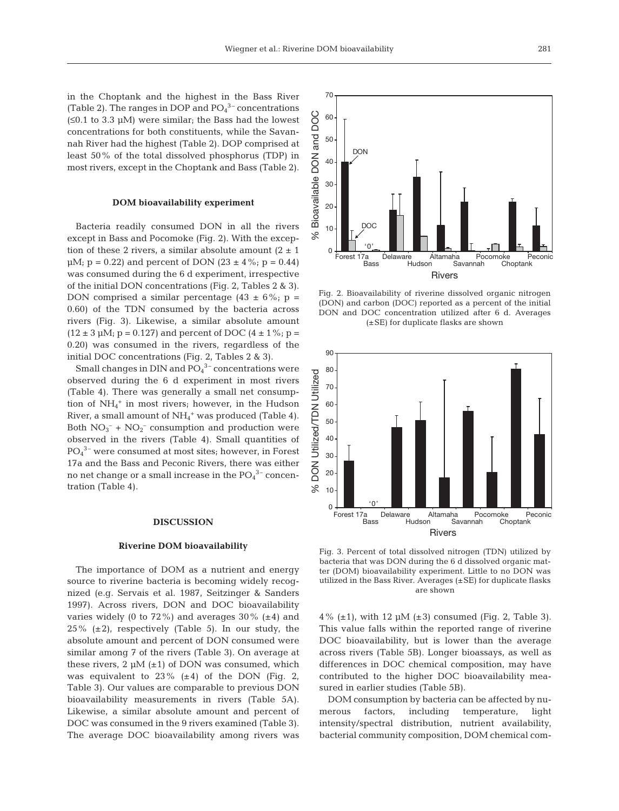in the Choptank and the highest in the Bass River (Table 2). The ranges in DOP and  $PO<sub>4</sub><sup>3-</sup>$  concentrations (≤0.1 to 3.3 µM) were similar; the Bass had the lowest concentrations for both constituents, while the Savannah River had the highest (Table 2). DOP comprised at least 50% of the total dissolved phosphorus (TDP) in most rivers, except in the Choptank and Bass (Table 2).

#### **DOM bioavailability experiment**

Bacteria readily consumed DON in all the rivers except in Bass and Pocomoke (Fig. 2). With the exception of these 2 rivers, a similar absolute amount  $(2 \pm 1)$  $\mu$ M; p = 0.22) and percent of DON (23  $\pm$  4%; p = 0.44) was consumed during the 6 d experiment, irrespective of the initial DON concentrations (Fig. 2, Tables 2 & 3). DON comprised a similar percentage  $(43 \pm 6\%; p =$ 0.60) of the TDN consumed by the bacteria across rivers (Fig. 3). Likewise, a similar absolute amount  $(12 \pm 3 \,\mu\text{M}; \, \text{p} = 0.127)$  and percent of DOC  $(4 \pm 1\%; \, \text{p} = 1.02)$ 0.20) was consumed in the rivers, regardless of the initial DOC concentrations (Fig. 2, Tables 2 & 3).

Small changes in DIN and  $PO<sub>4</sub><sup>3-</sup> concentrations were$ observed during the 6 d experiment in most rivers (Table 4). There was generally a small net consumption of  $NH_4^+$  in most rivers; however, in the Hudson River, a small amount of  $NH_4$ <sup>+</sup> was produced (Table 4). Both  $NO<sub>3</sub><sup>-</sup> + NO<sub>2</sub><sup>-</sup>$  consumption and production were observed in the rivers (Table 4). Small quantities of PO4 3– were consumed at most sites; however, in Forest 17a and the Bass and Peconic Rivers, there was either no net change or a small increase in the  $PO_4^3$ <sup>-</sup> concentration (Table 4).

### **DISCUSSION**

## **Riverine DOM bioavailability**

The importance of DOM as a nutrient and energy source to riverine bacteria is becoming widely recognized (e.g. Servais et al. 1987, Seitzinger & Sanders 1997). Across rivers, DON and DOC bioavailability varies widely (0 to 72%) and averages  $30\%$  ( $\pm 4$ ) and 25%  $(\pm 2)$ , respectively (Table 5). In our study, the absolute amount and percent of DON consumed were similar among 7 of the rivers (Table 3). On average at these rivers,  $2 \mu M (\pm 1)$  of DON was consumed, which was equivalent to  $23\%$  ( $\pm 4$ ) of the DON (Fig. 2, Table 3). Our values are comparable to previous DON bioavailability measurements in rivers (Table 5A). Likewise, a similar absolute amount and percent of DOC was consumed in the 9 rivers examined (Table 3). The average DOC bioavailability among rivers was



Fig. 2. Bioavailability of riverine dissolved organic nitrogen (DON) and carbon (DOC) reported as a percent of the initial DON and DOC concentration utilized after 6 d. Averages (±SE) for duplicate flasks are shown



Fig. 3. Percent of total dissolved nitrogen (TDN) utilized by bacteria that was DON during the 6 d dissolved organic matter (DOM) bioavailability experiment. Little to no DON was utilized in the Bass River. Averages (±SE) for duplicate flasks are shown

 $4\%$  ( $\pm$ 1), with 12  $\mu$ M ( $\pm$ 3) consumed (Fig. 2, Table 3). This value falls within the reported range of riverine DOC bioavailability, but is lower than the average across rivers (Table 5B). Longer bioassays, as well as differences in DOC chemical composition, may have contributed to the higher DOC bioavailability measured in earlier studies (Table 5B).

DOM consumption by bacteria can be affected by numerous factors, including temperature, light intensity/spectral distribution, nutrient availability, bacterial community composition, DOM chemical com-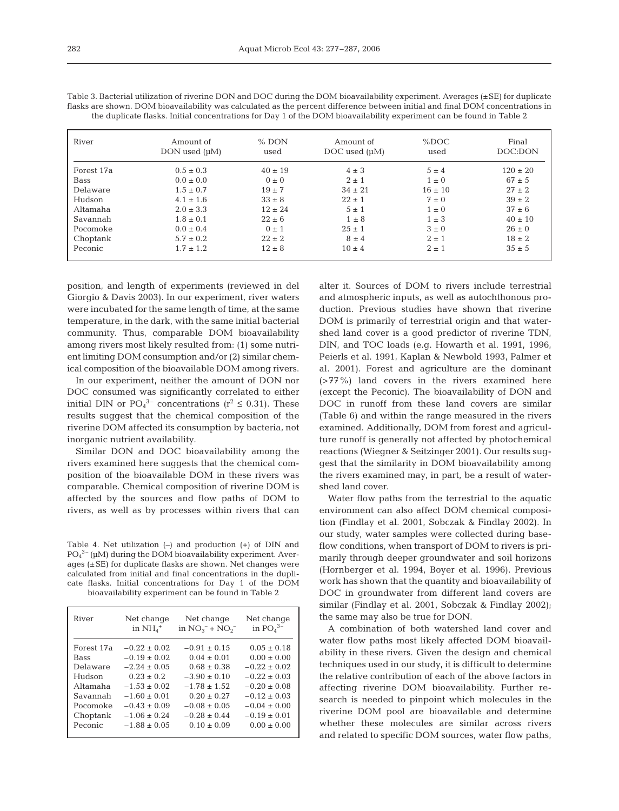| River      | Amount of<br>DON used $(\mu M)$ | $%$ DON<br>used | Amount of<br>DOC used $(\mu M)$ | %DOC<br>used | Final<br>DOC:DON |
|------------|---------------------------------|-----------------|---------------------------------|--------------|------------------|
| Forest 17a | $0.5 \pm 0.3$                   | $40 \pm 19$     | $4 \pm 3$                       | $5 \pm 4$    | $120 \pm 20$     |
| Bass       | $0.0 \pm 0.0$                   | $0 \pm 0$       | $2 \pm 1$                       | $1 \pm 0$    | $67 \pm 5$       |
| Delaware   | $1.5 \pm 0.7$                   | $19 \pm 7$      | $34 \pm 21$                     | $16 \pm 10$  | $27 \pm 2$       |
| Hudson     | $4.1 \pm 1.6$                   | $33 \pm 8$      | $22 \pm 1$                      | $7 \pm 0$    | $39 \pm 2$       |
| Altamaha   | $2.0 \pm 3.3$                   | $12 \pm 24$     | $5 \pm 1$                       | $1 \pm 0$    | $37 \pm 6$       |
| Savannah   | $1.8 \pm 0.1$                   | $22 \pm 6$      | $1 \pm 8$                       | $1 \pm 3$    | $40 \pm 10$      |
| Pocomoke   | $0.0 \pm 0.4$                   | $0 \pm 1$       | $2.5 \pm 1$                     | $3 \pm 0$    | $26 \pm 0$       |
| Choptank   | $5.7 \pm 0.2$                   | $22 \pm 2$      | $8 \pm 4$                       | $2 \pm 1$    | $18 \pm 2$       |
| Peconic    | $1.7 \pm 1.2$                   | $12 \pm 8$      | $10 \pm 4$                      | $2 \pm 1$    | $35 \pm 5$       |

Table 3. Bacterial utilization of riverine DON and DOC during the DOM bioavailability experiment. Averages (±SE) for duplicate flasks are shown. DOM bioavailability was calculated as the percent difference between initial and final DOM concentrations in the duplicate flasks. Initial concentrations for Day 1 of the DOM bioavailability experiment can be found in Table 2

position, and length of experiments (reviewed in del Giorgio & Davis 2003). In our experiment, river waters were incubated for the same length of time, at the same temperature, in the dark, with the same initial bacterial community. Thus, comparable DOM bioavailability among rivers most likely resulted from: (1) some nutrient limiting DOM consumption and/or (2) similar chemical composition of the bioavailable DOM among rivers.

In our experiment, neither the amount of DON nor DOC consumed was significantly correlated to either initial DIN or  $PO_4^{3-}$  concentrations ( $r^2 \le 0.31$ ). These results suggest that the chemical composition of the riverine DOM affected its consumption by bacteria, not inorganic nutrient availability.

Similar DON and DOC bioavailability among the rivers examined here suggests that the chemical composition of the bioavailable DOM in these rivers was comparable. Chemical composition of riverine DOM is affected by the sources and flow paths of DOM to rivers, as well as by processes within rivers that can

Table 4. Net utilization (–) and production (+) of DIN and  $PO<sub>4</sub><sup>3-</sup>$  ( $µM$ ) during the DOM bioavailability experiment. Averages (±SE) for duplicate flasks are shown. Net changes were calculated from initial and final concentrations in the duplicate flasks. Initial concentrations for Day 1 of the DOM bioavailability experiment can be found in Table 2

|                                                                                                                                                                                                                                                                                                                                                                                                                                                                                                                                                                                                                                           | River |
|-------------------------------------------------------------------------------------------------------------------------------------------------------------------------------------------------------------------------------------------------------------------------------------------------------------------------------------------------------------------------------------------------------------------------------------------------------------------------------------------------------------------------------------------------------------------------------------------------------------------------------------------|-------|
| $0.05 \pm 0.18$<br>$-0.22 \pm 0.02$<br>$-0.91 + 0.15$<br>Forest 17a<br>$0.00 \pm 0.00$<br>$-0.19 + 0.02$<br>$0.04 + 0.01$<br><b>Bass</b><br>$-2.24 \pm 0.05$<br>$0.68 + 0.38$<br>$-0.22 + 0.02$<br>Delaware<br>$-3.90 \pm 0.10$<br>$-0.22 \pm 0.03$<br>Hudson<br>$0.23 \pm 0.2$<br>$-1.53 + 0.02$<br>$-1.78 + 1.52$<br>$-0.20 + 0.08$<br>Altamaha<br>$-1.60 \pm 0.01$<br>$0.20 + 0.27$<br>$-0.12 + 0.03$<br>Savannah<br>$-0.43 \pm 0.09$<br>$-0.08 \pm 0.05$<br>$-0.04 \pm 0.00$<br>Pocomoke<br>$-0.19 \pm 0.01$<br>$-1.06 \pm 0.24$<br>$-0.28 \pm 0.44$<br>Choptank<br>Peconic<br>$-1.88 \pm 0.05$<br>$0.10 \pm 0.09$<br>$0.00 \pm 0.00$ |       |

alter it. Sources of DOM to rivers include terrestrial and atmospheric inputs, as well as autochthonous production. Previous studies have shown that riverine DOM is primarily of terrestrial origin and that watershed land cover is a good predictor of riverine TDN, DIN, and TOC loads (e.g. Howarth et al. 1991, 1996, Peierls et al. 1991, Kaplan & Newbold 1993, Palmer et al. 2001). Forest and agriculture are the dominant (>77%) land covers in the rivers examined here (except the Peconic). The bioavailability of DON and DOC in runoff from these land covers are similar (Table 6) and within the range measured in the rivers examined. Additionally, DOM from forest and agriculture runoff is generally not affected by photochemical reactions (Wiegner & Seitzinger 2001). Our results suggest that the similarity in DOM bioavailability among the rivers examined may, in part, be a result of watershed land cover.

Water flow paths from the terrestrial to the aquatic environment can also affect DOM chemical composition (Findlay et al. 2001, Sobczak & Findlay 2002). In our study, water samples were collected during baseflow conditions, when transport of DOM to rivers is primarily through deeper groundwater and soil horizons (Hornberger et al. 1994, Boyer et al. 1996). Previous work has shown that the quantity and bioavailability of DOC in groundwater from different land covers are similar (Findlay et al. 2001, Sobczak & Findlay 2002); the same may also be true for DON.

A combination of both watershed land cover and water flow paths most likely affected DOM bioavailability in these rivers. Given the design and chemical techniques used in our study, it is difficult to determine the relative contribution of each of the above factors in affecting riverine DOM bioavailability. Further research is needed to pinpoint which molecules in the riverine DOM pool are bioavailable and determine whether these molecules are similar across rivers and related to specific DOM sources, water flow paths,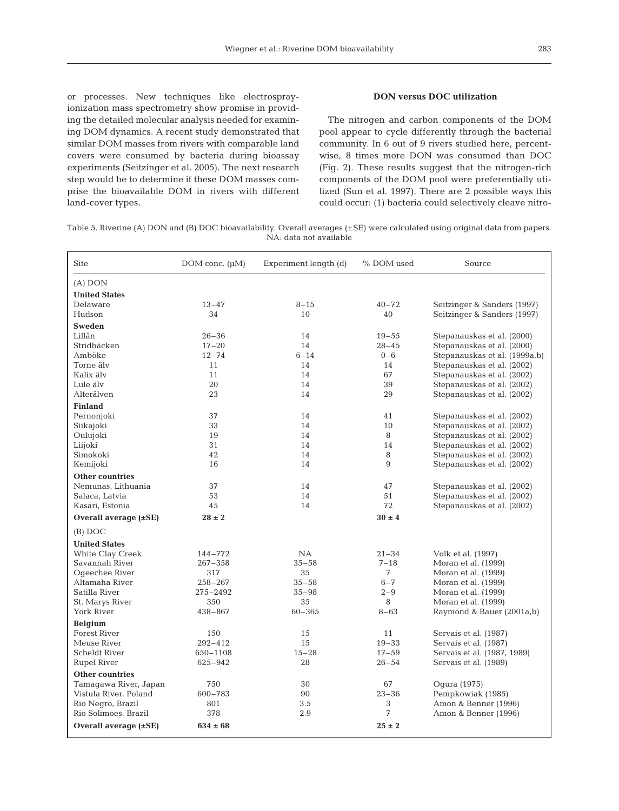or processes. New techniques like electrosprayionization mass spectrometry show promise in providing the detailed molecular analysis needed for examining DOM dynamics. A recent study demonstrated that similar DOM masses from rivers with comparable land covers were consumed by bacteria during bioassay experiments (Seitzinger et al. 2005). The next research step would be to determine if these DOM masses comprise the bioavailable DOM in rivers with different land-cover types.

## **DON versus DOC utilization**

The nitrogen and carbon components of the DOM pool appear to cycle differently through the bacterial community. In 6 out of 9 rivers studied here, percentwise, 8 times more DON was consumed than DOC (Fig. 2). These results suggest that the nitrogen-rich components of the DOM pool were preferentially utilized (Sun et al. 1997). There are 2 possible ways this could occur: (1) bacteria could selectively cleave nitro-

Table 5. Riverine (A) DON and (B) DOC bioavailability. Overall averages (±SE) were calculated using original data from papers. NA: data not available

| <b>Site</b>                | DOM conc. $(\mu M)$ | Experiment length (d) | % DOM used | Source                        |
|----------------------------|---------------------|-----------------------|------------|-------------------------------|
| $(A)$ DON                  |                     |                       |            |                               |
| <b>United States</b>       |                     |                       |            |                               |
| Delaware                   | $13 - 47$           | $8 - 15$              | $40 - 72$  | Seitzinger & Sanders (1997)   |
| Hudson                     | 34                  | 10                    | 40         | Seitzinger & Sanders (1997)   |
| <b>Sweden</b>              |                     |                       |            |                               |
| Lillån                     | $26 - 36$           | 14                    | $19 - 55$  | Stepanauskas et al. (2000)    |
| Stridbäcken                | $17 - 20$           | 14                    | $28 - 45$  | Stepanauskas et al. (2000)    |
| Amböke                     | $12 - 74$           | $6 - 14$              | $0 - 6$    | Stepanauskas et al. (1999a,b) |
| Torne älv                  | 11                  | 14                    | 14         | Stepanauskas et al. (2002)    |
| Kalix älv                  | 11                  | 14                    | 67         | Stepanauskas et al. (2002)    |
| Lule älv                   | 20                  | 14                    | 39         | Stepanauskas et al. (2002)    |
| Alterälven                 | 23                  | 14                    | 29         | Stepanauskas et al. (2002)    |
| <b>Finland</b>             |                     |                       |            |                               |
| Pernonjoki                 | 37                  | 14                    | 41         | Stepanauskas et al. (2002)    |
| Siikajoki                  | 33                  | 14                    | 10         | Stepanauskas et al. (2002)    |
| Oulujoki                   | 19                  | 14                    | 8          | Stepanauskas et al. (2002)    |
| Liijoki                    | 31                  | 14                    | 14         | Stepanauskas et al. (2002)    |
| Simokoki                   | 42                  | 14                    | 8          | Stepanauskas et al. (2002)    |
| Kemijoki                   | 16                  | 14                    | 9          | Stepanauskas et al. (2002)    |
| <b>Other countries</b>     |                     |                       |            |                               |
| Nemunas, Lithuania         | 37                  | 14                    | 47         | Stepanauskas et al. (2002)    |
| Salaca, Latvia             | 53                  | 14                    | 51         | Stepanauskas et al. (2002)    |
| Kasari, Estonia            | 45                  | 14                    | 72         | Stepanauskas et al. (2002)    |
| Overall average $(\pm SE)$ | $28 \pm 2$          |                       | $30 \pm 4$ |                               |
| $(B)$ DOC                  |                     |                       |            |                               |
| <b>United States</b>       |                     |                       |            |                               |
| White Clay Creek           | 144-772             | NA                    | $21 - 34$  | Volk et al. (1997)            |
| Savannah River             | $267 - 358$         | $35 - 58$             | $7 - 18$   | Moran et al. (1999)           |
| Oqeechee River             | 317                 | 35                    | 7          | Moran et al. (1999)           |
| Altamaha River             | $258 - 267$         | $35 - 58$             | $6 - 7$    | Moran et al. (1999)           |
| Satilla River              | 275-2492            | $35 - 98$             | $2 - 9$    | Moran et al. (1999)           |
| St. Marys River            | 350                 | 35                    | 8          | Moran et al. (1999)           |
| York River                 | $438 - 867$         | $60 - 365$            | $8 - 63$   | Raymond & Bauer (2001a,b)     |
| <b>Belgium</b>             |                     |                       |            |                               |
| <b>Forest River</b>        | 150                 | 15                    | 11         | Servais et al. (1987)         |
| Meuse River                | $292 - 412$         | 15                    | $19 - 33$  | Servais et al. (1987)         |
| <b>Scheldt River</b>       | 650-1108            | $15 - 28$             | $17 - 59$  | Servais et al. (1987, 1989)   |
| <b>Rupel River</b>         | 625-942             | 28                    | $26 - 54$  | Servais et al. (1989)         |
| <b>Other countries</b>     |                     |                       |            |                               |
| Tamagawa River, Japan      | 750                 | 30                    | 67         | Oqura (1975)                  |
| Vistula River, Poland      | $600 - 783$         | 90                    | $23 - 36$  | Pempkowiak (1985)             |
| Rio Negro, Brazil          | 801                 | 3.5                   | 3          | Amon & Benner (1996)          |
| Rio Solimoes, Brazil       | 378                 | 2.9                   | 7          | Amon & Benner (1996)          |
| Overall average $(\pm SE)$ | $634 \pm 68$        |                       | $25 \pm 2$ |                               |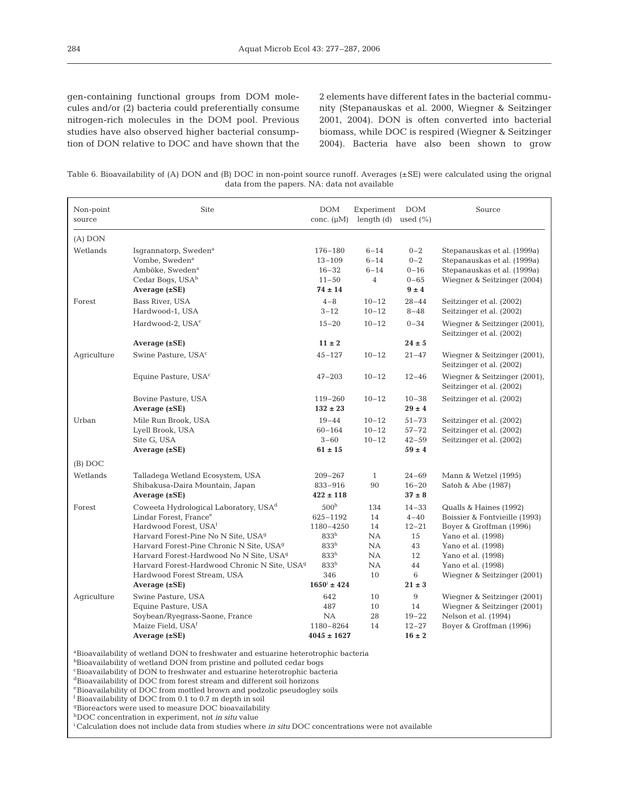gen-containing functional groups from DOM molecules and/or (2) bacteria could preferentially consume nitrogen-rich molecules in the DOM pool. Previous studies have also observed higher bacterial consumption of DON relative to DOC and have shown that the 2 elements have different fates in the bacterial community (Stepanauskas et al. 2000, Wiegner & Seitzinger 2001, 2004). DON is often converted into bacterial biomass, while DOC is respired (Wiegner & Seitzinger 2004). Bacteria have also been shown to grow

Table 6. Bioavailability of (A) DON and (B) DOC in non-point source runoff. Averages (±SE) were calculated using the orignal data from the papers. NA: data not available

| Non-point<br>source | Site                                                                                                                                                                                                                                                                                                                                                                                                            | <b>DOM</b><br>conc. $(\mu M)$                                                                                                                              | Experiment<br>length $(d)$ used $(\%)$               | <b>DOM</b>                                                                    | Source                                                                                                                                                                                                    |
|---------------------|-----------------------------------------------------------------------------------------------------------------------------------------------------------------------------------------------------------------------------------------------------------------------------------------------------------------------------------------------------------------------------------------------------------------|------------------------------------------------------------------------------------------------------------------------------------------------------------|------------------------------------------------------|-------------------------------------------------------------------------------|-----------------------------------------------------------------------------------------------------------------------------------------------------------------------------------------------------------|
| $(A)$ DON           |                                                                                                                                                                                                                                                                                                                                                                                                                 |                                                                                                                                                            |                                                      |                                                                               |                                                                                                                                                                                                           |
| Wetlands            | Isgrannatorp, Sweden <sup>a</sup><br>Vombe, Sweden <sup>a</sup><br>Amböke, Sweden <sup>a</sup><br>Cedar Bogs, USA <sup>b</sup><br>Average $(\pm SE)$                                                                                                                                                                                                                                                            | 176-180<br>$13 - 109$<br>$16 - 32$<br>$11 - 50$<br>$74 \pm 14$                                                                                             | $6 - 14$<br>$6 - 14$<br>$6 - 14$<br>$\overline{4}$   | $0 - 2$<br>$0 - 2$<br>$0 - 16$<br>$0 - 65$<br>$9 \pm 4$                       | Stepanauskas et al. (1999a)<br>Stepanauskas et al. (1999a)<br>Stepanauskas et al. (1999a)<br>Wiegner & Seitzinger (2004)                                                                                  |
| Forest              | Bass River, USA<br>Hardwood-1, USA                                                                                                                                                                                                                                                                                                                                                                              | $4 - 8$<br>$3 - 12$                                                                                                                                        | $10 - 12$<br>$10 - 12$                               | $28 - 44$<br>$8 - 48$                                                         | Seitzinger et al. (2002)<br>Seitzinger et al. (2002)                                                                                                                                                      |
|                     | Hardwood-2, USA <sup>c</sup>                                                                                                                                                                                                                                                                                                                                                                                    | $15 - 20$                                                                                                                                                  | $10 - 12$                                            | $0 - 34$                                                                      | Wiegner & Seitzinger (2001),<br>Seitzinger et al. (2002)                                                                                                                                                  |
|                     | Average $(\pm SE)$                                                                                                                                                                                                                                                                                                                                                                                              | $11 \pm 2$                                                                                                                                                 |                                                      | $24 \pm 5$                                                                    |                                                                                                                                                                                                           |
| Agriculture         | Swine Pasture, USA <sup>c</sup>                                                                                                                                                                                                                                                                                                                                                                                 | $45 - 127$                                                                                                                                                 | $10 - 12$                                            | $21 - 47$                                                                     | Wiegner & Seitzinger (2001),<br>Seitzinger et al. (2002)                                                                                                                                                  |
|                     | Equine Pasture, USA <sup>c</sup>                                                                                                                                                                                                                                                                                                                                                                                | 47-203                                                                                                                                                     | $10 - 12$                                            | $12 - 46$                                                                     | Wiegner & Seitzinger (2001),<br>Seitzinger et al. (2002)                                                                                                                                                  |
|                     | Bovine Pasture, USA<br>Average $(\pm SE)$                                                                                                                                                                                                                                                                                                                                                                       | 119-260<br>$132 \pm 23$                                                                                                                                    | $10 - 12$                                            | $10 - 38$<br>$29 \pm 4$                                                       | Seitzinger et al. (2002)                                                                                                                                                                                  |
| Urban               | Mile Run Brook, USA<br>Lyell Brook, USA<br>Site G, USA<br>Average $(\pm SE)$                                                                                                                                                                                                                                                                                                                                    | $19 - 44$<br>$60 - 164$<br>$3 - 60$<br>$61 \pm 15$                                                                                                         | $10 - 12$<br>$10 - 12$<br>$10 - 12$                  | $51 - 73$<br>$57 - 72$<br>$42 - 59$<br>$59 \pm 4$                             | Seitzinger et al. (2002)<br>Seitzinger et al. (2002)<br>Seitzinger et al. (2002)                                                                                                                          |
| $(B)$ DOC           |                                                                                                                                                                                                                                                                                                                                                                                                                 |                                                                                                                                                            |                                                      |                                                                               |                                                                                                                                                                                                           |
| Wetlands            | Talladega Wetland Ecosystem, USA<br>Shibakusa-Daira Mountain, Japan<br>Average $(\pm SE)$                                                                                                                                                                                                                                                                                                                       | $209 - 267$<br>833-916<br>$422 \pm 118$                                                                                                                    | $\mathbf{1}$<br>90                                   | $24 - 69$<br>$16 - 20$<br>$37 \pm 8$                                          | Mann & Wetzel (1995)<br>Satoh & Abe (1987)                                                                                                                                                                |
| Forest              | Coweeta Hydrological Laboratory, USA <sup>d</sup><br>Lindar Forest, France <sup>e</sup><br>Hardwood Forest, USA <sup>f</sup><br>Harvard Forest-Pine No N Site, USA <sup>9</sup><br>Harvard Forest-Pine Chronic N Site, USA <sup>g</sup><br>Harvard Forest-Hardwood No N Site, USA <sup>9</sup><br>Harvard Forest-Hardwood Chronic N Site, USA <sup>g</sup><br>Hardwood Forest Stream, USA<br>Average $(\pm SE)$ | 500 <sup>h</sup><br>625-1192<br>1180-4250<br>833 <sup>h</sup><br>833 <sup>h</sup><br>833 <sup>h</sup><br>833 <sup>h</sup><br>346<br>$1650^{\rm i} \pm 424$ | 134<br>14<br>14<br>NA<br>NA<br>NA<br><b>NA</b><br>10 | $14 - 33$<br>$4 - 40$<br>$12 - 21$<br>15<br>43<br>12<br>44<br>6<br>$21 \pm 3$ | Qualls & Haines (1992)<br>Boissier & Fontvieille (1993)<br>Boyer & Groffman (1996)<br>Yano et al. (1998)<br>Yano et al. (1998)<br>Yano et al. (1998)<br>Yano et al. (1998)<br>Wiegner & Seitzinger (2001) |
| Agriculture         | Swine Pasture, USA<br>Equine Pasture, USA<br>Soybean/Ryegrass-Saone, France<br>Maize Field, USA <sup>f</sup><br>Average $(\pm SE)$                                                                                                                                                                                                                                                                              | 642<br>487<br>NA<br>1180-8264<br>$4045 \pm 1627$                                                                                                           | 10<br>10<br>28<br>14                                 | 9<br>14<br>$19 - 22$<br>$12 - 27$<br>$16 \pm 2$                               | Wiegner & Seitzinger (2001)<br>Wiegner & Seitzinger (2001)<br>Nelson et al. (1994)<br>Boyer & Groffman (1996)                                                                                             |

<sup>a</sup>Bioavailability of wetland DON to freshwater and estuarine heterotrophic bacteria

bBioavailability of wetland DON from pristine and polluted cedar bogs

 $\Omega$ <sup>c</sup>Bioavailability of DON to freshwater and estuarine heterotrophic bacteria

<sup>d</sup>Bioavailability of DOC from forest stream and different soil horizons

 $\mathrm{e}_\mathrm{B}$  bioavailability of DOC from mottled brown and podzolic pseudogley soils

<sup>f</sup> Bioavailability of DOC from 0.1 to 0.7 m depth in soil

<sup>g</sup>Bioreactors were used to measure DOC bioavailability

hDOC concentration in experiment, not *in situ* value

<sup>i</sup> Calculation does not include data from studies where *in situ* DOC concentrations were not available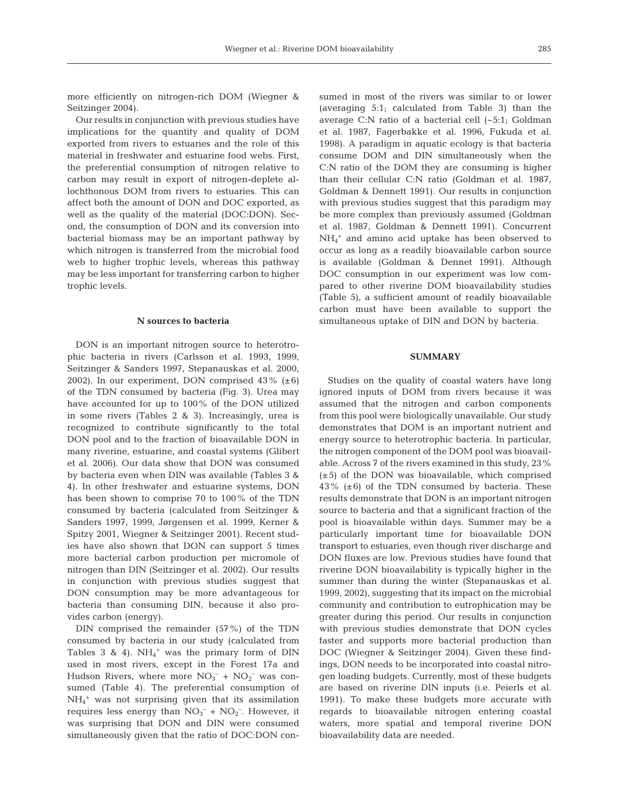more efficiently on nitrogen-rich DOM (Wiegner & Seitzinger 2004).

Our results in conjunction with previous studies have implications for the quantity and quality of DOM exported from rivers to estuaries and the role of this material in freshwater and estuarine food webs. First, the preferential consumption of nitrogen relative to carbon may result in export of nitrogen-deplete allochthonous DOM from rivers to estuaries. This can affect both the amount of DON and DOC exported, as well as the quality of the material (DOC:DON). Second, the consumption of DON and its conversion into bacterial biomass may be an important pathway by which nitrogen is transferred from the microbial food web to higher trophic levels, whereas this pathway may be less important for transferring carbon to higher trophic levels.

## **N sources to bacteria**

DON is an important nitrogen source to heterotrophic bacteria in rivers (Carlsson et al. 1993, 1999, Seitzinger & Sanders 1997, Stepanauskas et al. 2000, 2002). In our experiment, DON comprised  $43\%$  ( $\pm 6$ ) of the TDN consumed by bacteria (Fig. 3). Urea may have accounted for up to 100% of the DON utilized in some rivers (Tables 2 & 3). Increasingly, urea is recognized to contribute significantly to the total DON pool and to the fraction of bioavailable DON in many riverine, estuarine, and coastal systems (Glibert et al. 2006). Our data show that DON was consumed by bacteria even when DIN was available (Tables 3 & 4). In other freshwater and estuarine systems, DON has been shown to comprise 70 to 100% of the TDN consumed by bacteria (calculated from Seitzinger & Sanders 1997, 1999, Jørgensen et al. 1999, Kerner & Spitzy 2001, Wiegner & Seitzinger 2001). Recent studies have also shown that DON can support 5 times more bacterial carbon production per micromole of nitrogen than DIN (Seitzinger et al. 2002). Our results in conjunction with previous studies suggest that DON consumption may be more advantageous for bacteria than consuming DIN, because it also provides carbon (energy).

DIN comprised the remainder (57%) of the TDN consumed by bacteria in our study (calculated from Tables 3 & 4).  $NH_4$ <sup>+</sup> was the primary form of DIN used in most rivers, except in the Forest 17a and Hudson Rivers, where more  $NO<sub>3</sub><sup>-</sup> + NO<sub>2</sub><sup>-</sup>$  was consumed (Table 4). The preferential consumption of NH4 <sup>+</sup> was not surprising given that its assimilation requires less energy than  $NO_3^- + NO_2^-$ . However, it was surprising that DON and DIN were consumed simultaneously given that the ratio of DOC:DON consumed in most of the rivers was similar to or lower (averaging 5:1; calculated from Table 3) than the average C:N ratio of a bacterial cell (~5:1; Goldman et al. 1987, Fagerbakke et al. 1996, Fukuda et al. 1998). A paradigm in aquatic ecology is that bacteria consume DOM and DIN simultaneously when the C:N ratio of the DOM they are consuming is higher than their cellular C:N ratio (Goldman et al. 1987, Goldman & Dennett 1991). Our results in conjunction with previous studies suggest that this paradigm may be more complex than previously assumed (Goldman et al. 1987, Goldman & Dennett 1991). Concurrent NH4 <sup>+</sup> and amino acid uptake has been observed to occur as long as a readily bioavailable carbon source is available (Goldman & Dennet 1991). Although DOC consumption in our experiment was low compared to other riverine DOM bioavailability studies (Table 5), a sufficient amount of readily bioavailable carbon must have been available to support the simultaneous uptake of DIN and DON by bacteria.

#### **SUMMARY**

Studies on the quality of coastal waters have long ignored inputs of DOM from rivers because it was assumed that the nitrogen and carbon components from this pool were biologically unavailable. Our study demonstrates that DOM is an important nutrient and energy source to heterotrophic bacteria. In particular, the nitrogen component of the DOM pool was bioavailable. Across 7 of the rivers examined in this study, 23% (±5) of the DON was bioavailable, which comprised  $43\%$  ( $\pm 6$ ) of the TDN consumed by bacteria. These results demonstrate that DON is an important nitrogen source to bacteria and that a significant fraction of the pool is bioavailable within days. Summer may be a particularly important time for bioavailable DON transport to estuaries, even though river discharge and DON fluxes are low. Previous studies have found that riverine DON bioavailability is typically higher in the summer than during the winter (Stepanauskas et al. 1999, 2002), suggesting that its impact on the microbial community and contribution to eutrophication may be greater during this period. Our results in conjunction with previous studies demonstrate that DON cycles faster and supports more bacterial production than DOC (Wiegner & Seitzinger 2004). Given these findings, DON needs to be incorporated into coastal nitrogen loading budgets. Currently, most of these budgets are based on riverine DIN inputs (i.e. Peierls et al. 1991). To make these budgets more accurate with regards to bioavailable nitrogen entering coastal waters, more spatial and temporal riverine DON bioavailability data are needed.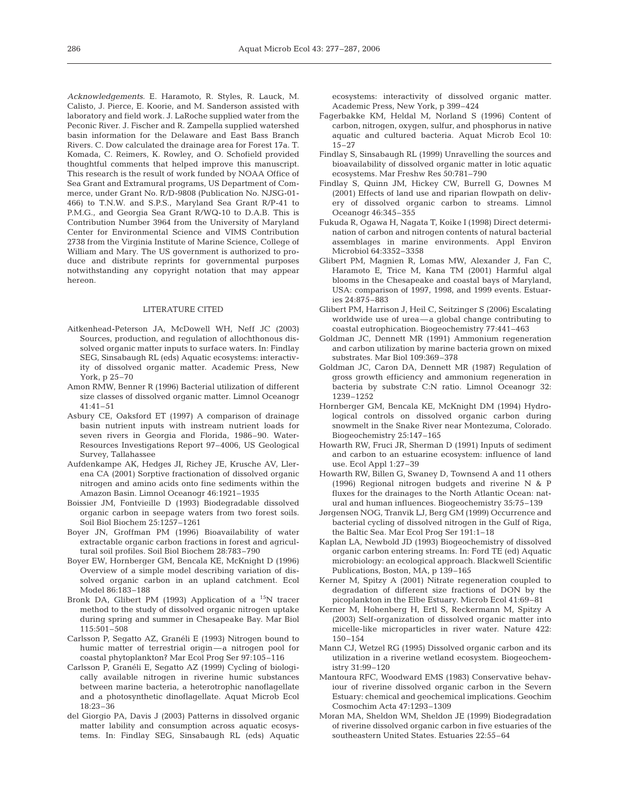*Acknowledgements.* E. Haramoto, R. Styles, R. Lauck, M. Calisto, J. Pierce, E. Koorie, and M. Sanderson assisted with laboratory and field work. J. LaRoche supplied water from the Peconic River. J. Fischer and R. Zampella supplied watershed basin information for the Delaware and East Bass Branch Rivers. C. Dow calculated the drainage area for Forest 17a. T. Komada, C. Reimers, K. Rowley, and O. Schofield provided thoughtful comments that helped improve this manuscript. This research is the result of work funded by NOAA Office of Sea Grant and Extramural programs, US Department of Commerce, under Grant No. R/D-9808 (Publication No. NJSG-01- 466) to T.N.W. and S.P.S., Maryland Sea Grant R/P-41 to P.M.G., and Georgia Sea Grant R/WQ-10 to D.A.B. This is Contribution Number 3964 from the University of Maryland Center for Environmental Science and VIMS Contribution 2738 from the Virginia Institute of Marine Science, College of William and Mary. The US government is authorized to produce and distribute reprints for governmental purposes notwithstanding any copyright notation that may appear hereon.

#### LITERATURE CITED

- Aitkenhead-Peterson JA, McDowell WH, Neff JC (2003) Sources, production, and regulation of allochthonous dissolved organic matter inputs to surface waters. In: Findlay SEG, Sinsabaugh RL (eds) Aquatic ecosystems: interactivity of dissolved organic matter. Academic Press, New York, p 25–70
- Amon RMW, Benner R (1996) Bacterial utilization of different size classes of dissolved organic matter. Limnol Oceanogr 41:41–51
- Asbury CE, Oaksford ET (1997) A comparison of drainage basin nutrient inputs with instream nutrient loads for seven rivers in Georgia and Florida, 1986–90. Water-Resources Investigations Report 97–4006, US Geological Survey, Tallahassee
- Aufdenkampe AK, Hedges JI, Richey JE, Krusche AV, Llerena CA (2001) Sorptive fractionation of dissolved organic nitrogen and amino acids onto fine sediments within the Amazon Basin. Limnol Oceanogr 46:1921–1935
- Boissier JM, Fontvieille D (1993) Biodegradable dissolved organic carbon in seepage waters from two forest soils. Soil Biol Biochem 25:1257–1261
- Boyer JN, Groffman PM (1996) Bioavailability of water extractable organic carbon fractions in forest and agricultural soil profiles. Soil Biol Biochem 28:783–790
- Boyer EW, Hornberger GM, Bencala KE, McKnight D (1996) Overview of a simple model describing variation of dissolved organic carbon in an upland catchment. Ecol Model 86:183–188
- Bronk DA, Glibert PM (1993) Application of a <sup>15</sup>N tracer method to the study of dissolved organic nitrogen uptake during spring and summer in Chesapeake Bay. Mar Biol 115:501–508
- Carlsson P, Segatto AZ, Granéli E (1993) Nitrogen bound to humic matter of terrestrial origin—a nitrogen pool for coastal phytoplankton? Mar Ecol Prog Ser 97:105–116
- Carlsson P, Granéli E, Segatto AZ (1999) Cycling of biologically available nitrogen in riverine humic substances between marine bacteria, a heterotrophic nanoflagellate and a photosynthetic dinoflagellate. Aquat Microb Ecol 18:23–36
- del Giorgio PA, Davis J (2003) Patterns in dissolved organic matter lability and consumption across aquatic ecosystems. In: Findlay SEG, Sinsabaugh RL (eds) Aquatic

ecosystems: interactivity of dissolved organic matter. Academic Press, New York, p 399–424

- Fagerbakke KM, Heldal M, Norland S (1996) Content of carbon, nitrogen, oxygen, sulfur, and phosphorus in native aquatic and cultured bacteria. Aquat Microb Ecol 10: 15–27
- Findlay S, Sinsabaugh RL (1999) Unravelling the sources and bioavailability of dissolved organic matter in lotic aquatic ecosystems. Mar Freshw Res 50:781–790
- Findlay S, Quinn JM, Hickey CW, Burrell G, Downes M (2001) Effects of land use and riparian flowpath on delivery of dissolved organic carbon to streams. Limnol Oceanogr 46:345–355
- Fukuda R, Ogawa H, Nagata T, Koike I (1998) Direct determination of carbon and nitrogen contents of natural bacterial assemblages in marine environments. Appl Environ Microbiol 64:3352–3358
- Glibert PM, Magnien R, Lomas MW, Alexander J, Fan C, Haramoto E, Trice M, Kana TM (2001) Harmful algal blooms in the Chesapeake and coastal bays of Maryland, USA: comparison of 1997, 1998, and 1999 events. Estuaries 24:875–883
- Glibert PM, Harrison J, Heil C, Seitzinger S (2006) Escalating worldwide use of urea—a global change contributing to coastal eutrophication. Biogeochemistry 77:441–463
- Goldman JC, Dennett MR (1991) Ammonium regeneration and carbon utilization by marine bacteria grown on mixed substrates. Mar Biol 109:369–378
- Goldman JC, Caron DA, Dennett MR (1987) Regulation of gross growth efficiency and ammonium regeneration in bacteria by substrate C:N ratio. Limnol Oceanogr 32: 1239–1252
- Hornberger GM, Bencala KE, McKnight DM (1994) Hydrological controls on dissolved organic carbon during snowmelt in the Snake River near Montezuma, Colorado. Biogeochemistry 25:147–165
- Howarth RW, Fruci JR, Sherman D (1991) Inputs of sediment and carbon to an estuarine ecosystem: influence of land use. Ecol Appl 1:27–39
- Howarth RW, Billen G, Swaney D, Townsend A and 11 others (1996) Regional nitrogen budgets and riverine N & P fluxes for the drainages to the North Atlantic Ocean: natural and human influences. Biogeochemistry 35:75–139
- Jørgensen NOG, Tranvik LJ, Berg GM (1999) Occurrence and bacterial cycling of dissolved nitrogen in the Gulf of Riga, the Baltic Sea. Mar Ecol Prog Ser 191:1–18
- Kaplan LA, Newbold JD (1993) Biogeochemistry of dissolved organic carbon entering streams. In: Ford TE (ed) Aquatic microbiology: an ecological approach. Blackwell Scientific Publications, Boston, MA, p 139–165
- Kerner M, Spitzy A (2001) Nitrate regeneration coupled to degradation of different size fractions of DON by the picoplankton in the Elbe Estuary. Microb Ecol 41:69–81
- Kerner M, Hohenberg H, Ertl S, Reckermann M, Spitzy A (2003) Self-organization of dissolved organic matter into micelle-like microparticles in river water. Nature 422: 150–154
- Mann CJ, Wetzel RG (1995) Dissolved organic carbon and its utilization in a riverine wetland ecosystem. Biogeochemistry 31:99–120
- Mantoura RFC, Woodward EMS (1983) Conservative behaviour of riverine dissolved organic carbon in the Severn Estuary: chemical and geochemical implications. Geochim Cosmochim Acta 47:1293–1309
- Moran MA, Sheldon WM, Sheldon JE (1999) Biodegradation of riverine dissolved organic carbon in five estuaries of the southeastern United States. Estuaries 22:55–64